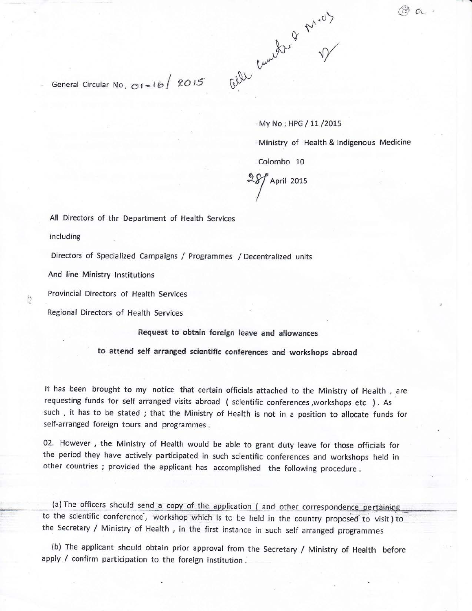

General Circular No,  $O1 = 16$  2015

My No; HPG / 11 / 2015

Ministry of Health & Indigenous Medicine

Colombo 10

April 2015

All Directors of thr Department of Health Services

including

Directors of Specialized Campaigns / Programmes / Decentralized units

And line Ministry Institutions

Provincial Directors of Health Services

Regional Directors of Health Services

Request to obtain foreign leave and allowances

to attend self arranged scientific conferences and workshops abroad

It has been brought to my notice that certain officials attached to the Ministry of Health, are requesting funds for self arranged visits abroad ( scientific conferences, workshops etc ). As such, it has to be stated; that the Ministry of Health is not in a position to allocate funds for self-arranged foreign tours and programmes.

02. However, the Ministry of Health would be able to grant duty leave for those officials for the period they have actively participated in such scientific conferences and workshops held in other countries; provided the applicant has accomplished the following procedure.

(a) The officers should send a copy of the application ( and other correspondence pertaining to the scientific conference, workshop which is to be held in the country proposed to visit) to the Secretary / Ministry of Health, in the first instance in such self arranged programmes

(b) The applicant should obtain prior approval from the Secretary / Ministry of Health before apply / confirm participation to the foreign institution.